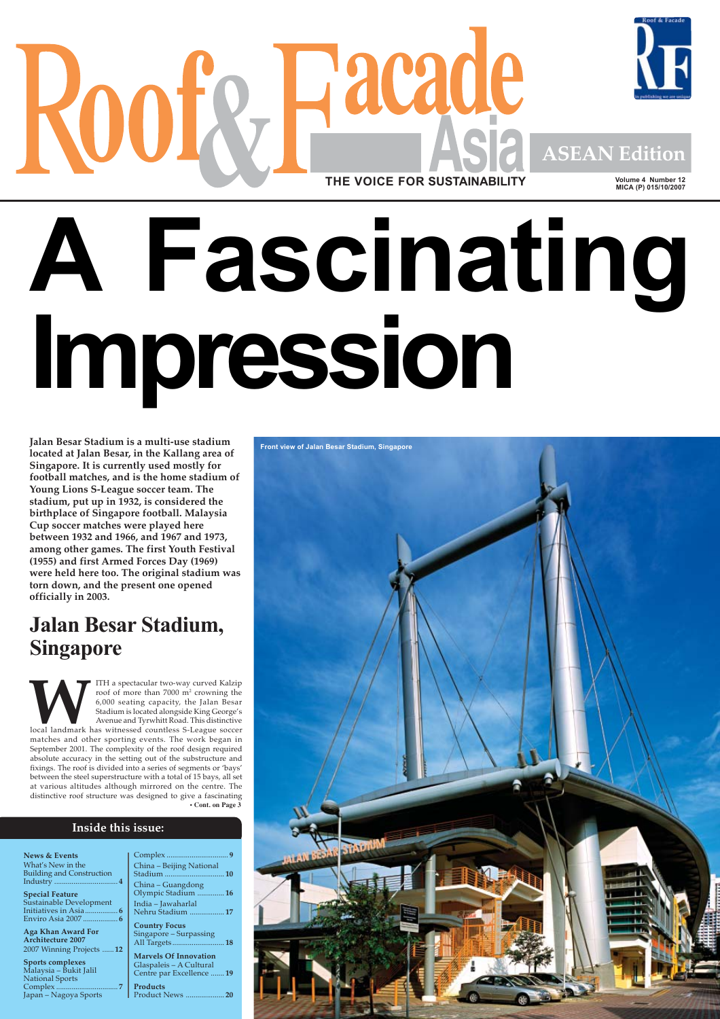

# **A Fascinating Impression**

**Jalan Besar Stadium is a multi-use stadium located at Jalan Besar, in the Kallang area of Singapore. It is currently used mostly for football matches, and is the home stadium of Young Lions S-League soccer team. The stadium, put up in 1932, is considered the birthplace of Singapore football. Malaysia Cup soccer matches were played here between 1932 and 1966, and 1967 and 1973, among other games. The first Youth Festival (1955) and first Armed Forces Day (1969) were held here too. The original stadium was torn down, and the present one opened officially in 2003.**

# **Jalan Besar Stadium, Singapore**



# **Inside this issue:**

| <b>News &amp; Events</b>         |                              |
|----------------------------------|------------------------------|
| What's New in the                | China - Beijing National     |
| <b>Building and Construction</b> | 10<br>Stadium                |
|                                  |                              |
|                                  | China – Guangdong            |
| <b>Special Feature</b>           | Olympic Stadium 16           |
| Sustainable Development          | India – Jawaharlal           |
| Initiatives in Asia 6            | Nehru Stadium  17            |
|                                  |                              |
|                                  | <b>Country Focus</b>         |
| Aga Khan Award For               | Singapore – Surpassing       |
| <b>Architecture 2007</b>         | All Targets 18               |
| 2007 Winning Projects  12        |                              |
|                                  | <b>Marvels Of Innovation</b> |
| Sports complexes                 | Glaspaleis - A Cultural      |
| Malaysia - Bukit Jalil           | Centre par Excellence 19     |
| <b>National Sports</b>           |                              |
|                                  | <b>Products</b>              |
| Japan – Nagoya Sports            | Product News<br>20           |
|                                  |                              |